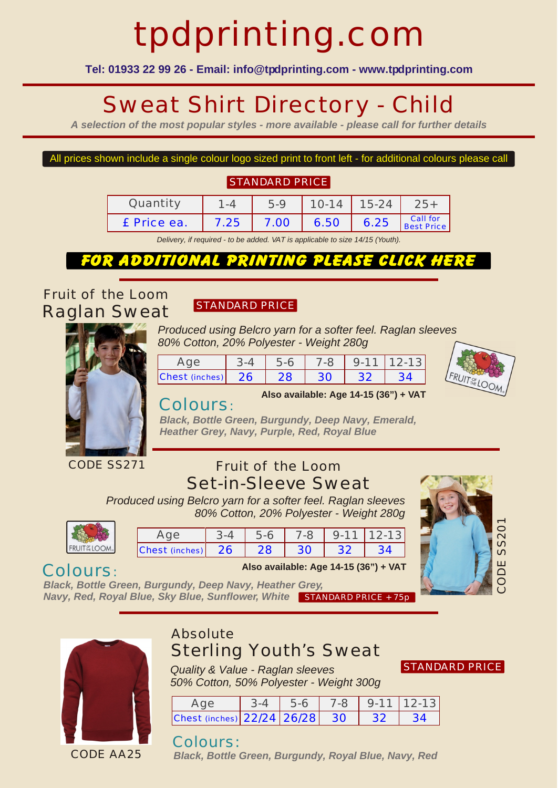# tpdprinting.com

**Tel: 01933 22 99 26 - Email: info@tpdprinting.com - www.tpdprinting.com**

## Sweat Shirt Directory - Child

*A selection of the most popular styles - more available - please call for further details*

#### All prices shown include a single colour logo sized print to front left - for additional colours please call

#### **STANDARD PRICE**

| Ouantity    | $-4$ | 5.9  | $10-14$ | $15-24$ |                        |
|-------------|------|------|---------|---------|------------------------|
| £ Price ea. | 7.25 | 7.00 | 6.50    | 6.25    | Call for<br>Best Price |

*Delivery, if required - to be added. VAT is applicable to size 14/15 (Youth).*

#### for additional printing please click here

*Fruit of the Loom Raglan Sweat*

#### STANDARD PRICE

*Produced using Belcro yarn for a softer feel. Raglan sleeves 80% Cotton, 20% Polyester - Weight 280g*



| $\triangle \cap \triangle$ | $3 - 4$ | $-5-6$ |                 | $7-8$ 9-11 12-13 |  |
|----------------------------|---------|--------|-----------------|------------------|--|
| Chest (inches) 26          |         | 128    | 30 <sup>7</sup> | $. 32 -$         |  |



#### Colours:

**Also available: Age 14-15 (36") + VAT**

*Black, Bottle Green, Burgundy, Deep Navy, Emerald, Heather Grey, Navy, Purple, Red, Royal Blue*

#### *Fruit of the Loom Set-in-Sleeve Sweat*

*Produced using Belcro yarn for a softer feel. Raglan sleeves 80% Cotton, 20% Polyester - Weight 280g*

| FRU<br>$\lceil \frac{\cup \mathsf{r}}{\mathsf{H} \mathsf{F}} \rceil$<br>L |  |
|---------------------------------------------------------------------------|--|

|                                | $5-6$ |        |           | 7-8 9-11 12-13 |
|--------------------------------|-------|--------|-----------|----------------|
| $ {\rm Chest}$ (inches) $ 26 $ | 28    | $30 -$ | $\sim$ 32 |                |



#### Colours:

*Black, Bottle Green, Burgundy, Deep Navy, Heather Grey, Navy, Red, Royal Blue, Sky Blue, Sunflower, White* STANDARD PRICE + 75p



CODE AA25

### *Absolute*

*Sterling Youth's Sweat*

STANDARD PRICE

*Quality & Value - Raglan sleeves 50% Cotton, 50% Polyester - Weight 300g*

| Ade                           | 5-6 | $7-8$ |      | $9-11$ 12-13 |
|-------------------------------|-----|-------|------|--------------|
| Chest (inches) 22/24 26/28 30 |     |       | - 32 |              |

**Also available: Age 14-15 (36") + VAT**

#### Colours:

*Black, Bottle Green, Burgundy, Royal Blue, Navy, Red*